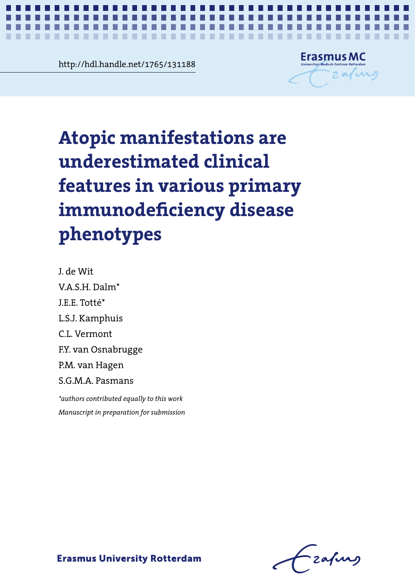**Contract 2.23 The Structure 3.23 The Structure 3.23 The Structure 3.23 The Structure 3.23 The Structure 3.33 The Structure 3.34 The Structure 3.34 The Structure 3.34 The Structure 3.34 The Structure 3.34 The Structure 3.3** http://hdl.handle.net/1765/131188

. . . .

×

. . .

**100** 



*Atopic manifestations in primary immunodeficiency diseases* **1**

Atopic manifestations are **Atopic manifestations are**  underestimated clinical features in various chances chances. duce in validus  $\overline{a}$ . **underestimated clinical features in various primary immunodeficiency disease phenotypes**

S.G.M.A. Pasmans J. de Wit V.A.S.H. Dalm\* J.E.E. Totté\* L.S.J. Kamphuis C.L. Vermont F.Y. van Osnabrugge P.M. van Hagen

V.A.S.H. Dalm\* *\*authors contributed equally to this work* J.E.E. Totté\* L.S.J. Kamphuis *Manuscript in preparation for submission*

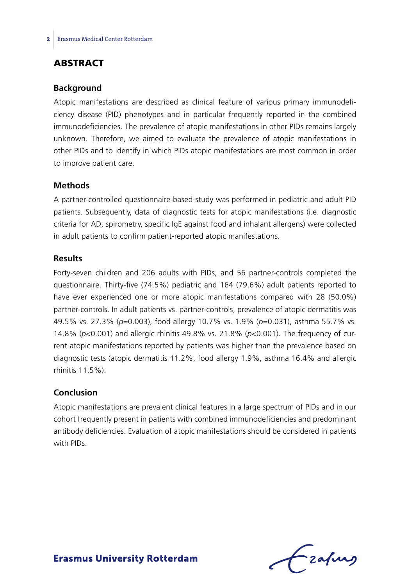## **ABSTRACT**

#### **Background**

Atopic manifestations are described as clinical feature of various primary immunodeficiency disease (PID) phenotypes and in particular frequently reported in the combined immunodeficiencies. The prevalence of atopic manifestations in other PIDs remains largely unknown. Therefore, we aimed to evaluate the prevalence of atopic manifestations in other PIDs and to identify in which PIDs atopic manifestations are most common in order to improve patient care.

#### **Methods**

A partner-controlled questionnaire-based study was performed in pediatric and adult PID patients. Subsequently, data of diagnostic tests for atopic manifestations (i.e. diagnostic criteria for AD, spirometry, specific IgE against food and inhalant allergens) were collected in adult patients to confirm patient-reported atopic manifestations.

#### **Results**

Forty-seven children and 206 adults with PIDs, and 56 partner-controls completed the questionnaire. Thirty-five (74.5%) pediatric and 164 (79.6%) adult patients reported to have ever experienced one or more atopic manifestations compared with 28 (50.0%) partner-controls. In adult patients vs. partner-controls, prevalence of atopic dermatitis was 49.5% vs. 27.3% (*p*=0.003), food allergy 10.7% vs. 1.9% (*p*=0.031), asthma 55.7% vs. 14.8% (*p*<0.001) and allergic rhinitis 49.8% vs. 21.8% (*p*<0.001). The frequency of current atopic manifestations reported by patients was higher than the prevalence based on diagnostic tests (atopic dermatitis 11.2%, food allergy 1.9%, asthma 16.4% and allergic rhinitis 11.5%).

#### **Conclusion**

Atopic manifestations are prevalent clinical features in a large spectrum of PIDs and in our cohort frequently present in patients with combined immunodeficiencies and predominant antibody deficiencies. Evaluation of atopic manifestations should be considered in patients with PIDs.

Lzafurs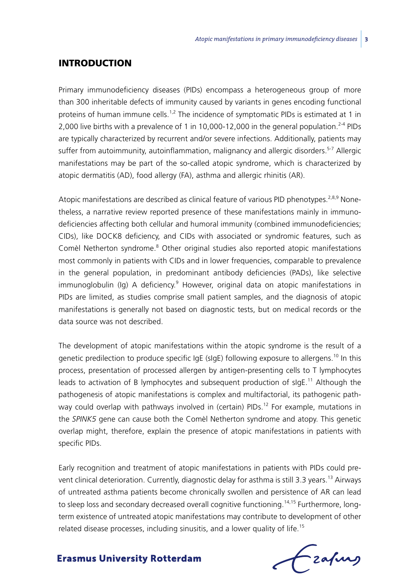### **INTRODUCTION**

Primary immunodeficiency diseases (PIDs) encompass a heterogeneous group of more than 300 inheritable defects of immunity caused by variants in genes encoding functional proteins of human immune cells.<sup>1,2</sup> The incidence of symptomatic PIDs is estimated at 1 in 2,000 live births with a prevalence of 1 in 10,000-12,000 in the general population.<sup>2-4</sup> PIDs are typically characterized by recurrent and/or severe infections. Additionally, patients may suffer from autoimmunity, autoinflammation, malignancy and allergic disorders.<sup>5-7</sup> Allergic manifestations may be part of the so-called atopic syndrome, which is characterized by atopic dermatitis (AD), food allergy (FA), asthma and allergic rhinitis (AR).

Atopic manifestations are described as clinical feature of various PID phenotypes.<sup>2,8,9</sup> Nonetheless, a narrative review reported presence of these manifestations mainly in immunodeficiencies affecting both cellular and humoral immunity (combined immunodeficiencies; CIDs), like DOCK8 deficiency, and CIDs with associated or syndromic features, such as Comèl Netherton syndrome.<sup>8</sup> Other original studies also reported atopic manifestations most commonly in patients with CIDs and in lower frequencies, comparable to prevalence in the general population, in predominant antibody deficiencies (PADs), like selective immunoglobulin (Ig) A deficiency.<sup>9</sup> However, original data on atopic manifestations in PIDs are limited, as studies comprise small patient samples, and the diagnosis of atopic manifestations is generally not based on diagnostic tests, but on medical records or the data source was not described.

The development of atopic manifestations within the atopic syndrome is the result of a genetic predilection to produce specific IgE (sIgE) following exposure to allergens.<sup>10</sup> In this process, presentation of processed allergen by antigen-presenting cells to T lymphocytes leads to activation of B lymphocytes and subsequent production of  $slgE$ <sup>11</sup> Although the pathogenesis of atopic manifestations is complex and multifactorial, its pathogenic pathway could overlap with pathways involved in (certain) PIDs.<sup>12</sup> For example, mutations in the *SPINK5* gene can cause both the Comèl Netherton syndrome and atopy. This genetic overlap might, therefore, explain the presence of atopic manifestations in patients with specific PIDs.

Early recognition and treatment of atopic manifestations in patients with PIDs could prevent clinical deterioration. Currently, diagnostic delay for asthma is still 3.3 years.<sup>13</sup> Airways of untreated asthma patients become chronically swollen and persistence of AR can lead to sleep loss and secondary decreased overall cognitive functioning.<sup>14,15</sup> Furthermore, longterm existence of untreated atopic manifestations may contribute to development of other related disease processes, including sinusitis, and a lower quality of life.<sup>15</sup>

frafing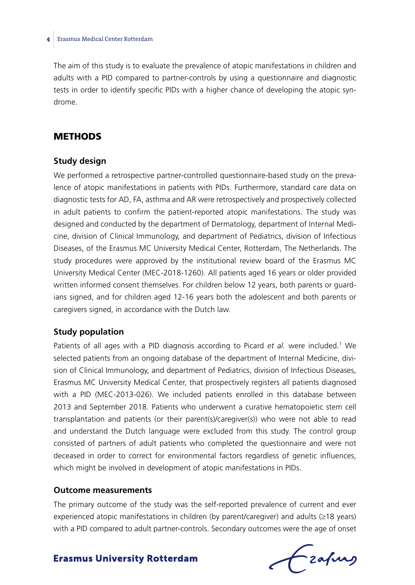The aim of this study is to evaluate the prevalence of atopic manifestations in children and adults with a PID compared to partner-controls by using a questionnaire and diagnostic tests in order to identify specific PIDs with a higher chance of developing the atopic syndrome.

## **METHODS**

#### **Study design**

We performed a retrospective partner-controlled questionnaire-based study on the prevalence of atopic manifestations in patients with PIDs. Furthermore, standard care data on diagnostic tests for AD, FA, asthma and AR were retrospectively and prospectively collected in adult patients to confirm the patient-reported atopic manifestations. The study was designed and conducted by the department of Dermatology, department of Internal Medicine, division of Clinical Immunology, and department of Pediatrics, division of Infectious Diseases, of the Erasmus MC University Medical Center, Rotterdam, The Netherlands. The study procedures were approved by the institutional review board of the Erasmus MC University Medical Center (MEC-2018-1260). All patients aged 16 years or older provided written informed consent themselves. For children below 12 years, both parents or guardians signed, and for children aged 12-16 years both the adolescent and both parents or caregivers signed, in accordance with the Dutch law.

### **Study population**

Patients of all ages with a PID diagnosis according to Picard *et al.* were included.<sup>1</sup> We selected patients from an ongoing database of the department of Internal Medicine, division of Clinical Immunology, and department of Pediatrics, division of Infectious Diseases, Erasmus MC University Medical Center, that prospectively registers all patients diagnosed with a PID (MEC-2013-026). We included patients enrolled in this database between 2013 and September 2018. Patients who underwent a curative hematopoietic stem cell transplantation and patients (or their parent(s)/caregiver(s)) who were not able to read and understand the Dutch language were excluded from this study. The control group consisted of partners of adult patients who completed the questionnaire and were not deceased in order to correct for environmental factors regardless of genetic influences, which might be involved in development of atopic manifestations in PIDs.

#### **Outcome measurements**

The primary outcome of the study was the self-reported prevalence of current and ever experienced atopic manifestations in children (by parent/caregiver) and adults (≥18 years) with a PID compared to adult partner-controls. Secondary outcomes were the age of onset

frafing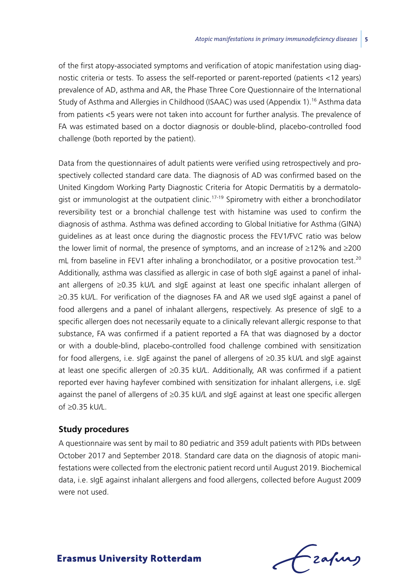of the first atopy-associated symptoms and verification of atopic manifestation using diagnostic criteria or tests. To assess the self-reported or parent-reported (patients <12 years) prevalence of AD, asthma and AR, the Phase Three Core Questionnaire of the International Study of Asthma and Allergies in Childhood (ISAAC) was used (Appendix 1).<sup>16</sup> Asthma data from patients <5 years were not taken into account for further analysis. The prevalence of FA was estimated based on a doctor diagnosis or double-blind, placebo-controlled food challenge (both reported by the patient).

Data from the questionnaires of adult patients were verified using retrospectively and prospectively collected standard care data. The diagnosis of AD was confirmed based on the United Kingdom Working Party Diagnostic Criteria for Atopic Dermatitis by a dermatologist or immunologist at the outpatient clinic.<sup>17-19</sup> Spirometry with either a bronchodilator reversibility test or a bronchial challenge test with histamine was used to confirm the diagnosis of asthma. Asthma was defined according to Global Initiative for Asthma (GINA) guidelines as at least once during the diagnostic process the FEV1/FVC ratio was below the lower limit of normal, the presence of symptoms, and an increase of ≥12% and ≥200 mL from baseline in FEV1 after inhaling a bronchodilator, or a positive provocation test.<sup>20</sup> Additionally, asthma was classified as allergic in case of both sIgE against a panel of inhalant allergens of ≥0.35 kU/L and sIgE against at least one specific inhalant allergen of ≥0.35 kU/L. For verification of the diagnoses FA and AR we used sIgE against a panel of food allergens and a panel of inhalant allergens, respectively. As presence of sIgE to a specific allergen does not necessarily equate to a clinically relevant allergic response to that substance, FA was confirmed if a patient reported a FA that was diagnosed by a doctor or with a double-blind, placebo-controlled food challenge combined with sensitization for food allergens, i.e. sIgE against the panel of allergens of ≥0.35 kU/L and sIgE against at least one specific allergen of ≥0.35 kU/L. Additionally, AR was confirmed if a patient reported ever having hayfever combined with sensitization for inhalant allergens, i.e. sIgE against the panel of allergens of ≥0.35 kU/L and sIgE against at least one specific allergen of ≥0.35 kU/L.

#### **Study procedures**

A questionnaire was sent by mail to 80 pediatric and 359 adult patients with PIDs between October 2017 and September 2018. Standard care data on the diagnosis of atopic manifestations were collected from the electronic patient record until August 2019. Biochemical data, i.e. sIgE against inhalant allergens and food allergens, collected before August 2009 were not used.

- zafung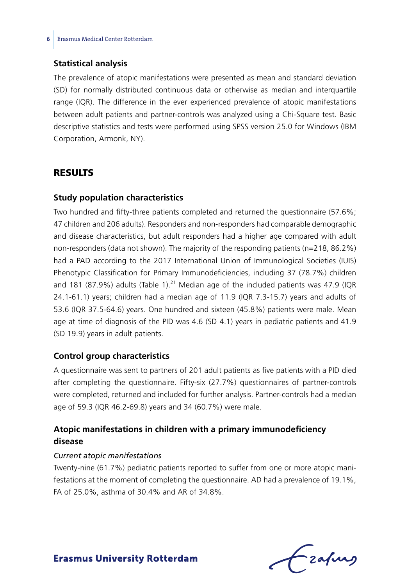#### **Statistical analysis**

The prevalence of atopic manifestations were presented as mean and standard deviation (SD) for normally distributed continuous data or otherwise as median and interquartile range (IQR). The difference in the ever experienced prevalence of atopic manifestations between adult patients and partner-controls was analyzed using a Chi-Square test. Basic descriptive statistics and tests were performed using SPSS version 25.0 for Windows (IBM Corporation, Armonk, NY).

## **RESULTS**

#### **Study population characteristics**

Two hundred and fifty-three patients completed and returned the questionnaire (57.6%; 47 children and 206 adults). Responders and non-responders had comparable demographic and disease characteristics, but adult responders had a higher age compared with adult non-responders (data not shown). The majority of the responding patients (n=218, 86.2%) had a PAD according to the 2017 International Union of Immunological Societies (IUIS) Phenotypic Classification for Primary Immunodeficiencies, including 37 (78.7%) children and 181 (87.9%) adults (Table 1).<sup>21</sup> Median age of the included patients was 47.9 (IQR 24.1-61.1) years; children had a median age of 11.9 (IQR 7.3-15.7) years and adults of 53.6 (IQR 37.5-64.6) years. One hundred and sixteen (45.8%) patients were male. Mean age at time of diagnosis of the PID was 4.6 (SD 4.1) years in pediatric patients and 41.9 (SD 19.9) years in adult patients.

#### **Control group characteristics**

A questionnaire was sent to partners of 201 adult patients as five patients with a PID died after completing the questionnaire. Fifty-six (27.7%) questionnaires of partner-controls were completed, returned and included for further analysis. Partner-controls had a median age of 59.3 (IQR 46.2-69.8) years and 34 (60.7%) were male.

## **Atopic manifestations in children with a primary immunodeficiency disease**

#### *Current atopic manifestations*

Twenty-nine (61.7%) pediatric patients reported to suffer from one or more atopic manifestations at the moment of completing the questionnaire. AD had a prevalence of 19.1%, FA of 25.0%, asthma of 30.4% and AR of 34.8%.

Frafing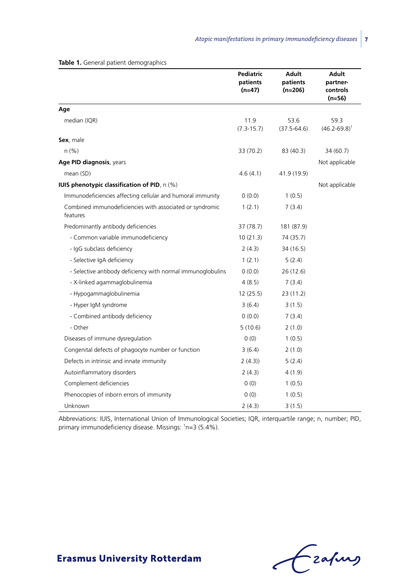|                                                                      | Pediatric<br>patients<br>$(n=47)$ | Adult<br>patients<br>$(n=206)$ | Adult<br>partner-<br>controls<br>(n=56) |
|----------------------------------------------------------------------|-----------------------------------|--------------------------------|-----------------------------------------|
| Age                                                                  |                                   |                                |                                         |
| median (IQR)                                                         | 11.9<br>$(7.3 - 15.7)$            | 53.6<br>$(37.5 - 64.6)$        | 59.3<br>$(46.2 - 69.8)^1$               |
| Sex, male                                                            |                                   |                                |                                         |
| n (% )                                                               | 33 (70.2)                         | 83 (40.3)                      | 34 (60.7)                               |
| Age PID diagnosis, years                                             |                                   |                                | Not applicable                          |
| mean (SD)                                                            | 4.6(4.1)                          | 41.9 (19.9)                    |                                         |
| <b>IUIS phenotypic classification of PID, n (%)</b>                  |                                   |                                | Not applicable                          |
| Immunodeficiencies affecting cellular and humoral immunity           | (0.0)                             | 1(0.5)                         |                                         |
| Combined immunodeficiencies with associated or syndromic<br>features | 1(2.1)                            | 7(3.4)                         |                                         |
| Predominantly antibody deficiencies                                  | 37(78.7)                          | 181 (87.9)                     |                                         |
| - Common variable immunodeficiency                                   | 10(21.3)                          | 74 (35.7)                      |                                         |
| - IgG subclass deficiency                                            | 2(4.3)                            | 34 (16.5)                      |                                         |
| - Selective IgA deficiency                                           | 1(2.1)                            | 5(2.4)                         |                                         |
| - Selective antibody deficiency with normal immunoglobulins          | 0(0.0)                            | 26(12.6)                       |                                         |
| - X-linked agammaglobulinemia                                        | 4(8.5)                            | 7(3.4)                         |                                         |
| - Hypogammaglobulinemia                                              | 12(25.5)                          | 23 (11.2)                      |                                         |
| - Hyper IgM syndrome                                                 | 3(6.4)                            | 3(1.5)                         |                                         |
| - Combined antibody deficiency                                       | 0(0.0)                            | 7(3.4)                         |                                         |
| - Other                                                              | 5(10.6)                           | 2(1.0)                         |                                         |
| Diseases of immune dysregulation                                     | 0(0)                              | 1(0.5)                         |                                         |
| Congenital defects of phagocyte number or function                   | 3(6.4)                            | 2(1.0)                         |                                         |
| Defects in intrinsic and innate immunity                             | 2(4.3)                            | 5(2.4)                         |                                         |
| Autoinflammatory disorders                                           | 2(4.3)                            | 4(1.9)                         |                                         |
| Complement deficiencies                                              | 0(0)                              | 1(0.5)                         |                                         |
| Phenocopies of inborn errors of immunity                             | 0(0)                              | 1(0.5)                         |                                         |
| Unknown                                                              | 2(4.3)                            | 3(1.5)                         |                                         |

**Table 1.** General patient demographics

Abbreviations: IUIS, International Union of Immunological Societies; IQR, interquartile range; n, number; PID, primary immunodeficiency disease. Missings: <sup>1</sup>n=3 (5.4%).

Grafing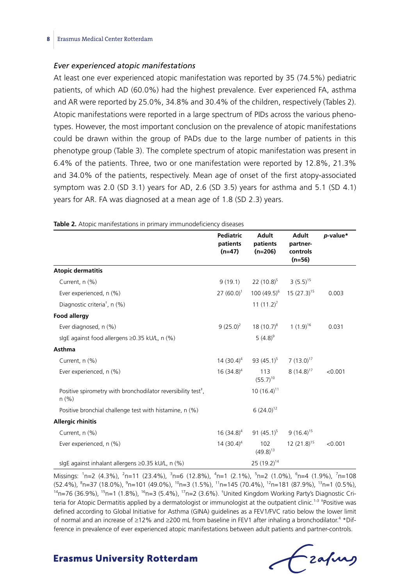#### *Ever experienced atopic manifestations*

At least one ever experienced atopic manifestation was reported by 35 (74.5%) pediatric patients, of which AD (60.0%) had the highest prevalence. Ever experienced FA, asthma and AR were reported by 25.0%, 34.8% and 30.4% of the children, respectively (Tables 2). Atopic manifestations were reported in a large spectrum of PIDs across the various phenotypes. However, the most important conclusion on the prevalence of atopic manifestations could be drawn within the group of PADs due to the large number of patients in this phenotype group (Table 3). The complete spectrum of atopic manifestation was present in 6.4% of the patients. Three, two or one manifestation were reported by 12.8%, 21.3% and 34.0% of the patients, respectively. Mean age of onset of the first atopy-associated symptom was 2.0 (SD 3.1) years for AD, 2.6 (SD 3.5) years for asthma and 5.1 (SD 4.1) years for AR. FA was diagnosed at a mean age of 1.8 (SD 2.3) years.

|                                                                                       | <b>Pediatric</b><br>patients<br>$(n=47)$ | <b>Adult</b><br>patients<br>$(n=206)$                                  | <b>Adult</b><br>partner-<br>controls<br>$(n=56)$ | p-value* |
|---------------------------------------------------------------------------------------|------------------------------------------|------------------------------------------------------------------------|--------------------------------------------------|----------|
| <b>Atopic dermatitis</b>                                                              |                                          |                                                                        |                                                  |          |
| Current, n (%)                                                                        | 9(19.1)                                  | 22 $(10.8)^5$ 3 $(5.5)^{15}$                                           |                                                  |          |
| Ever experienced, n (%)                                                               |                                          | 27 (60.0) <sup>1</sup> 100 (49.5) <sup>6</sup> 15 (27.3) <sup>15</sup> |                                                  | 0.003    |
| Diagnostic criteria <sup>†</sup> , n (%)                                              |                                          | 11 $(11.2)^7$                                                          |                                                  |          |
| <b>Food allergy</b>                                                                   |                                          |                                                                        |                                                  |          |
| Ever diagnosed, n (%)                                                                 |                                          | $9(25.0)^2$ 18 $(10.7)^8$ 1 $(1.9)^{16}$                               |                                                  | 0.031    |
| sigE against food allergens $\geq$ 0.35 kU/L, n (%)                                   |                                          | 5 $(4.8)^9$                                                            |                                                  |          |
| <b>Asthma</b>                                                                         |                                          |                                                                        |                                                  |          |
| Current, n (%)                                                                        |                                          | $14(30.4)^4$ 93 (45.1) <sup>5</sup>                                    | $7(13.0)^{17}$                                   |          |
| Ever experienced, n (%)                                                               | $16(34.8)^4$                             | 113<br>$(55.7)^{10}$                                                   | $8(14.8)^{17}$                                   | < 0.001  |
| Positive spirometry with bronchodilator reversibility test <sup>#</sup> ,<br>$n (\%)$ |                                          | $10(16.4)^{11}$                                                        |                                                  |          |
| Positive bronchial challenge test with histamine, n (%)                               |                                          | $6(24.0)^{12}$                                                         |                                                  |          |
| <b>Allergic rhinitis</b>                                                              |                                          |                                                                        |                                                  |          |
| Current, n (%)                                                                        | $16(34.8)^4$                             | 91 $(45.1)^5$                                                          | $9(16.4)^{15}$                                   |          |
| Ever experienced, n (%)                                                               | 14 $(30.4)^4$                            | 102<br>$(49.8)^{13}$                                                   | $12(21.8)^{15}$                                  | < 0.001  |
| sigE against inhalant allergens ≥0.35 kU/L, n (%)                                     |                                          | $25(19.2)^{14}$                                                        |                                                  |          |

**Table 2.** Atopic manifestations in primary immunodeficiency diseases

Missings: <sup>1</sup>n=2 (4.3%), <sup>2</sup>n=11 (23.4%), <sup>3</sup>n=6 (12.8%), <sup>4</sup>n=1 (2.1%), <sup>5</sup>n=2 (1.0%), <sup>6</sup>n=4 (1.9%), <sup>7</sup>n=108 (52.4%), <sup>8</sup>n=37 (18.0%), <sup>9</sup> (52.4%), <sup>8</sup>n=37 (18.0%), <sup>9</sup>n=101 (49.0%), <sup>10</sup>n=3 (1.5%), <sup>11</sup>n=145 (70.4%), <sup>12</sup>n=181 (87.9%), <sup>13</sup>n=1 (0.5%),<br><sup>14</sup>n=76 (36.9%), <sup>15</sup>n=1 (1.8%), <sup>16</sup>n=3 (5.4%), <sup>17</sup>n=2 (3.6%). <sup>†</sup>United Kingdom Working Party's Diagnost teria for Atopic Dermatitis applied by a dermatologist or immunologist at the outpatient clinic.<sup>1-3</sup> <sup>‡</sup>Positive was defined according to Global Initiative for Asthma (GINA) guidelines as a FEV1/FVC ratio below the lower limit of normal and an increase of ≥12% and ≥200 mL from baseline in FEV1 after inhaling a bronchodilator.<sup>4</sup> \*Difference in prevalence of ever experienced atopic manifestations between adult patients and partner-controls.

frafing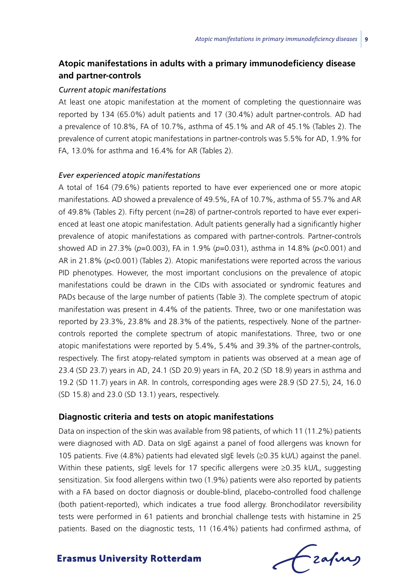## **Atopic manifestations in adults with a primary immunodeficiency disease and partner-controls**

#### *Current atopic manifestations*

At least one atopic manifestation at the moment of completing the questionnaire was reported by 134 (65.0%) adult patients and 17 (30.4%) adult partner-controls. AD had a prevalence of 10.8%, FA of 10.7%, asthma of 45.1% and AR of 45.1% (Tables 2). The prevalence of current atopic manifestations in partner-controls was 5.5% for AD, 1.9% for FA, 13.0% for asthma and 16.4% for AR (Tables 2).

#### *Ever experienced atopic manifestations*

A total of 164 (79.6%) patients reported to have ever experienced one or more atopic manifestations. AD showed a prevalence of 49.5%, FA of 10.7%, asthma of 55.7% and AR of 49.8% (Tables 2). Fifty percent (n=28) of partner-controls reported to have ever experienced at least one atopic manifestation. Adult patients generally had a significantly higher prevalence of atopic manifestations as compared with partner-controls. Partner-controls showed AD in 27.3% (*p*=0.003), FA in 1.9% (*p*=0.031), asthma in 14.8% (*p*<0.001) and AR in 21.8% (*p*<0.001) (Tables 2). Atopic manifestations were reported across the various PID phenotypes. However, the most important conclusions on the prevalence of atopic manifestations could be drawn in the CIDs with associated or syndromic features and PADs because of the large number of patients (Table 3). The complete spectrum of atopic manifestation was present in 4.4% of the patients. Three, two or one manifestation was reported by 23.3%, 23.8% and 28.3% of the patients, respectively. None of the partnercontrols reported the complete spectrum of atopic manifestations. Three, two or one atopic manifestations were reported by 5.4%, 5.4% and 39.3% of the partner-controls, respectively. The first atopy-related symptom in patients was observed at a mean age of 23.4 (SD 23.7) years in AD, 24.1 (SD 20.9) years in FA, 20.2 (SD 18.9) years in asthma and 19.2 (SD 11.7) years in AR. In controls, corresponding ages were 28.9 (SD 27.5), 24, 16.0 (SD 15.8) and 23.0 (SD 13.1) years, respectively.

#### **Diagnostic criteria and tests on atopic manifestations**

Data on inspection of the skin was available from 98 patients, of which 11 (11.2%) patients were diagnosed with AD. Data on sIgE against a panel of food allergens was known for 105 patients. Five (4.8%) patients had elevated sIgE levels (≥0.35 kU/L) against the panel. Within these patients, slgE levels for 17 specific allergens were ≥0.35 kU/L, suggesting sensitization. Six food allergens within two (1.9%) patients were also reported by patients with a FA based on doctor diagnosis or double-blind, placebo-controlled food challenge (both patient-reported), which indicates a true food allergy. Bronchodilator reversibility tests were performed in 61 patients and bronchial challenge tests with histamine in 25 patients. Based on the diagnostic tests, 11 (16.4%) patients had confirmed asthma, of

Czapurs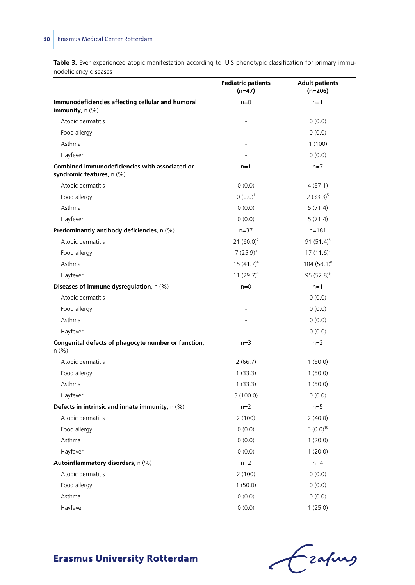## **10** Erasmus Medical Center Rotterdam

**Table 3.** Ever experienced atopic manifestation according to IUIS phenotypic classification for primary immunodeficiency diseases  $\overline{\phantom{a}}$ 

|                                                                             | <b>Pediatric patients</b><br>$(n=47)$ | <b>Adult patients</b><br>$(n=206)$ |
|-----------------------------------------------------------------------------|---------------------------------------|------------------------------------|
| Immunodeficiencies affecting cellular and humoral<br>immunity, $n$ (%)      | $n=0$                                 | $n=1$                              |
| Atopic dermatitis                                                           |                                       | 0(0.0)                             |
| Food allergy                                                                |                                       | 0(0.0)                             |
| Asthma                                                                      |                                       | 1(100)                             |
| Hayfever                                                                    |                                       | 0(0.0)                             |
| Combined immunodeficiencies with associated or<br>syndromic features, n (%) | $n=1$                                 | $n=7$                              |
| Atopic dermatitis                                                           | 0(0.0)                                | 4(57.1)                            |
| Food allergy                                                                | $0(0.0)^1$                            | $2(33.3)^5$                        |
| Asthma                                                                      | 0(0.0)                                | 5(71.4)                            |
| Hayfever                                                                    | 0(0.0)                                | 5(71.4)                            |
| Predominantly antibody deficiencies, n (%)                                  | $n = 37$                              | $n = 181$                          |
| Atopic dermatitis                                                           | 21 $(60.0)^2$                         | 91 $(51.4)^6$                      |
| Food allergy                                                                | $7(25.9)^3$                           | $17(11.6)^7$                       |
| Asthma                                                                      | $15(41.7)^4$                          | $104(58.1)^8$                      |
| Hayfever                                                                    | 11 $(29.7)^4$                         | 95 $(52.8)^9$                      |
| Diseases of immune dysregulation, n (%)                                     | $n=0$                                 | $n=1$                              |
| Atopic dermatitis                                                           |                                       | 0(0.0)                             |
| Food allergy                                                                |                                       | 0(0.0)                             |
| Asthma                                                                      |                                       | 0(0.0)                             |
| Hayfever                                                                    |                                       | 0(0.0)                             |
| Congenital defects of phagocyte number or function,<br>n(% )                | $n=3$                                 | $n=2$                              |
| Atopic dermatitis                                                           | 2(66.7)                               | 1(50.0)                            |
| Food allergy                                                                | 1(33.3)                               | 1(50.0)                            |
| Asthma                                                                      | 1(33.3)                               | 1(50.0)                            |
| Hayfever                                                                    | 3(100.0)                              | 0(0.0)                             |
| Defects in intrinsic and innate immunity, $n$ (%)                           | $n=2$                                 | $n=5$                              |
| Atopic dermatitis                                                           | 2(100)                                | 2(40.0)                            |
| Food allergy                                                                | 0(0.0)                                | $(0.0)^{10}$                       |
| Asthma                                                                      | 0(0.0)                                | 1(20.0)                            |
| Hayfever                                                                    | 0(0.0)                                | 1(20.0)                            |
| Autoinflammatory disorders, n (%)                                           | $n=2$                                 | $n=4$                              |
| Atopic dermatitis                                                           | 2(100)                                | 0(0.0)                             |
| Food allergy                                                                | 1(50.0)                               | 0(0.0)                             |
| Asthma                                                                      | 0(0.0)                                | 0(0.0)                             |
| Hayfever                                                                    | 0(0.0)                                | 1(25.0)                            |

Grafing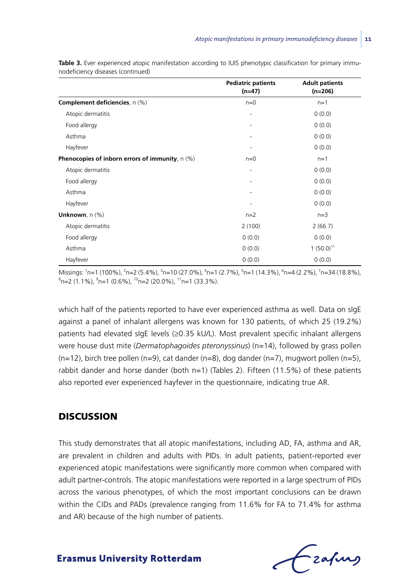|                                                   | <b>Pediatric patients</b><br>$(n=47)$ | <b>Adult patients</b><br>$(n=206)$ |
|---------------------------------------------------|---------------------------------------|------------------------------------|
| <b>Complement deficiencies</b> , n (%)            | $n=0$                                 | $n=1$                              |
| Atopic dermatitis                                 | ٠                                     | 0(0.0)                             |
| Food allergy                                      |                                       | 0(0.0)                             |
| Asthma                                            | ۰                                     | 0(0.0)                             |
| Hayfever                                          | ٠                                     | 0(0.0)                             |
| Phenocopies of inborn errors of immunity, $n$ (%) | $n=0$                                 | $n=1$                              |
| Atopic dermatitis                                 | ٠                                     | 0(0.0)                             |
| Food allergy                                      |                                       | 0(0.0)                             |
| Asthma                                            | ۰                                     | 0(0.0)                             |
| Hayfever                                          | ٠                                     | 0(0.0)                             |
| Unknown, $n$ (%)                                  | $n=2$                                 | $n=3$                              |
| Atopic dermatitis                                 | 2(100)                                | 2(66.7)                            |
| Food allergy                                      | 0(0.0)                                | 0(0.0)                             |
| Asthma                                            | 0(0.0)                                | $1(50.0)^{11}$                     |
| Hayfever                                          | 0(0.0)                                | 0(0.0)                             |

**Table 3.** Ever experienced atopic manifestation according to IUIS phenotypic classification for primary immunodeficiency diseases (continued)

Missings: 'n=1 (100%), <sup>2</sup>n=2 (5.4%), <sup>3</sup>n=10 (27.0%), <sup>4</sup>n=1 (2.7%), <sup>5</sup>n=1 (14.3%), <sup>6</sup>n=4 (2.2%), <sup>7</sup>n=34 (18.8%),<br><sup>8</sup>n=2 (1.1%), <sup>9</sup>n=1 (0.6%), <sup>10</sup>n=2 (20.0%), <sup>11</sup>n=1 (33.3%) n=2 (1.1%), <sup>9</sup>n=1 (0.6%), <sup>10</sup>n=2 (20.0%), <sup>11</sup>n=1 (33.3%).

which half of the patients reported to have ever experienced asthma as well. Data on sIgE against a panel of inhalant allergens was known for 130 patients, of which 25 (19.2%) patients had elevated sIgE levels (≥0.35 kU/L). Most prevalent specific inhalant allergens were house dust mite (*Dermatophagoides pteronyssinus*) (n=14), followed by grass pollen  $(n=12)$ , birch tree pollen  $(n=9)$ , cat dander  $(n=8)$ , dog dander  $(n=7)$ , mugwort pollen  $(n=5)$ , rabbit dander and horse dander (both n=1) (Tables 2). Fifteen (11.5%) of these patients also reported ever experienced hayfever in the questionnaire, indicating true AR.

## **DISCUSSION**

This study demonstrates that all atopic manifestations, including AD, FA, asthma and AR, are prevalent in children and adults with PIDs. In adult patients, patient-reported ever experienced atopic manifestations were significantly more common when compared with adult partner-controls. The atopic manifestations were reported in a large spectrum of PIDs across the various phenotypes, of which the most important conclusions can be drawn within the CIDs and PADs (prevalence ranging from 11.6% for FA to 71.4% for asthma and AR) because of the high number of patients.

- zafung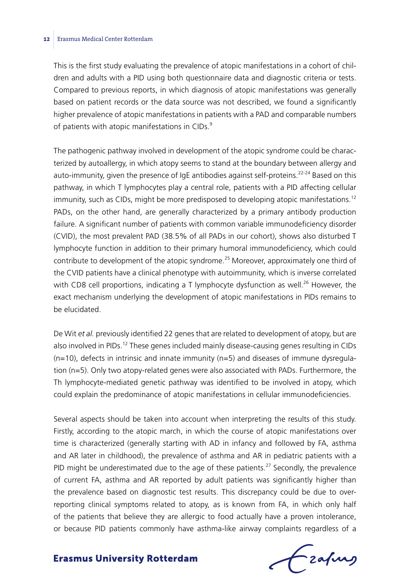This is the first study evaluating the prevalence of atopic manifestations in a cohort of children and adults with a PID using both questionnaire data and diagnostic criteria or tests. Compared to previous reports, in which diagnosis of atopic manifestations was generally based on patient records or the data source was not described, we found a significantly higher prevalence of atopic manifestations in patients with a PAD and comparable numbers of patients with atopic manifestations in CIDs.<sup>9</sup>

The pathogenic pathway involved in development of the atopic syndrome could be characterized by autoallergy, in which atopy seems to stand at the boundary between allergy and auto-immunity, given the presence of  $I$ gE antibodies against self-proteins.<sup>22-24</sup> Based on this pathway, in which T lymphocytes play a central role, patients with a PID affecting cellular immunity, such as CIDs, might be more predisposed to developing atopic manifestations.<sup>12</sup> PADs, on the other hand, are generally characterized by a primary antibody production failure. A significant number of patients with common variable immunodeficiency disorder (CVID), the most prevalent PAD (38.5% of all PADs in our cohort), shows also disturbed T lymphocyte function in addition to their primary humoral immunodeficiency, which could contribute to development of the atopic syndrome.<sup>25</sup> Moreover, approximately one third of the CVID patients have a clinical phenotype with autoimmunity, which is inverse correlated with CD8 cell proportions, indicating a T lymphocyte dysfunction as well.<sup>26</sup> However, the exact mechanism underlying the development of atopic manifestations in PIDs remains to be elucidated.

De Wit *et al.* previously identified 22 genes that are related to development of atopy, but are also involved in PIDs.<sup>12</sup> These genes included mainly disease-causing genes resulting in CIDs  $(n=10)$ , defects in intrinsic and innate immunity  $(n=5)$  and diseases of immune dysregulation (n=5). Only two atopy-related genes were also associated with PADs. Furthermore, the Th lymphocyte-mediated genetic pathway was identified to be involved in atopy, which could explain the predominance of atopic manifestations in cellular immunodeficiencies.

Several aspects should be taken into account when interpreting the results of this study. Firstly, according to the atopic march, in which the course of atopic manifestations over time is characterized (generally starting with AD in infancy and followed by FA, asthma and AR later in childhood), the prevalence of asthma and AR in pediatric patients with a PID might be underestimated due to the age of these patients.<sup>27</sup> Secondly, the prevalence of current FA, asthma and AR reported by adult patients was significantly higher than the prevalence based on diagnostic test results. This discrepancy could be due to overreporting clinical symptoms related to atopy, as is known from FA, in which only half of the patients that believe they are allergic to food actually have a proven intolerance, or because PID patients commonly have asthma-like airway complaints regardless of a

Frafing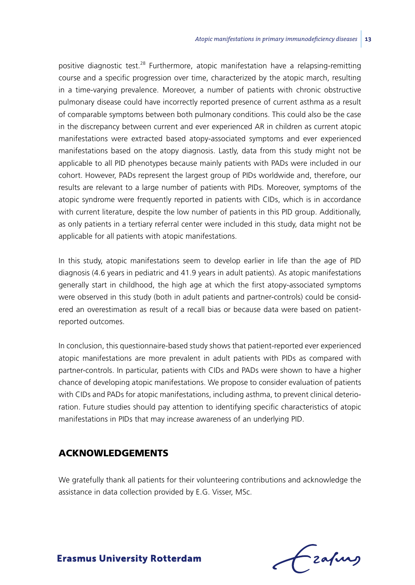positive diagnostic test.28 Furthermore, atopic manifestation have a relapsing-remitting course and a specific progression over time, characterized by the atopic march, resulting in a time-varying prevalence. Moreover, a number of patients with chronic obstructive pulmonary disease could have incorrectly reported presence of current asthma as a result of comparable symptoms between both pulmonary conditions. This could also be the case in the discrepancy between current and ever experienced AR in children as current atopic manifestations were extracted based atopy-associated symptoms and ever experienced manifestations based on the atopy diagnosis. Lastly, data from this study might not be applicable to all PID phenotypes because mainly patients with PADs were included in our cohort. However, PADs represent the largest group of PIDs worldwide and, therefore, our results are relevant to a large number of patients with PIDs. Moreover, symptoms of the atopic syndrome were frequently reported in patients with CIDs, which is in accordance with current literature, despite the low number of patients in this PID group. Additionally, as only patients in a tertiary referral center were included in this study, data might not be applicable for all patients with atopic manifestations.

In this study, atopic manifestations seem to develop earlier in life than the age of PID diagnosis (4.6 years in pediatric and 41.9 years in adult patients). As atopic manifestations generally start in childhood, the high age at which the first atopy-associated symptoms were observed in this study (both in adult patients and partner-controls) could be considered an overestimation as result of a recall bias or because data were based on patientreported outcomes.

In conclusion, this questionnaire-based study shows that patient-reported ever experienced atopic manifestations are more prevalent in adult patients with PIDs as compared with partner-controls. In particular, patients with CIDs and PADs were shown to have a higher chance of developing atopic manifestations. We propose to consider evaluation of patients with CIDs and PADs for atopic manifestations, including asthma, to prevent clinical deterioration. Future studies should pay attention to identifying specific characteristics of atopic manifestations in PIDs that may increase awareness of an underlying PID.

## Acknowledgements

We gratefully thank all patients for their volunteering contributions and acknowledge the assistance in data collection provided by E.G. Visser, MSc.

Lzafurs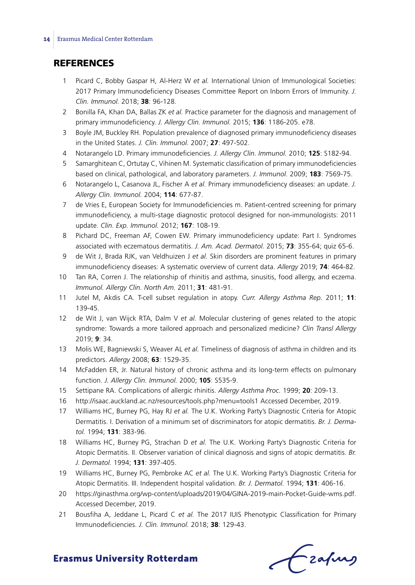## **REFERENCES**

- 1 Picard C, Bobby Gaspar H, Al-Herz W *et al.* International Union of Immunological Societies: 2017 Primary Immunodeficiency Diseases Committee Report on Inborn Errors of Immunity. *J. Clin. Immunol.* 2018; **38**: 96-128.
- 2 Bonilla FA, Khan DA, Ballas ZK *et al.* Practice parameter for the diagnosis and management of primary immunodeficiency. *J. Allergy Clin. Immunol.* 2015; **136**: 1186-205. e78.
- 3 Boyle JM, Buckley RH. Population prevalence of diagnosed primary immunodeficiency diseases in the United States. *J. Clin. Immunol.* 2007; **27**: 497-502.
- 4 Notarangelo LD. Primary immunodeficiencies. *J. Allergy Clin. Immunol.* 2010; **125**: S182-94.
- 5 Samarghitean C, Ortutay C, Vihinen M. Systematic classification of primary immunodeficiencies based on clinical, pathological, and laboratory parameters. *J. Immunol.* 2009; **183**: 7569-75.
- 6 Notarangelo L, Casanova JL, Fischer A *et al.* Primary immunodeficiency diseases: an update. *J. Allergy Clin. Immunol.* 2004; **114**: 677-87.
- 7 de Vries E, European Society for Immunodeficiencies m. Patient-centred screening for primary immunodeficiency, a multi-stage diagnostic protocol designed for non-immunologists: 2011 update. *Clin. Exp. Immunol.* 2012; **167**: 108-19.
- 8 Pichard DC, Freeman AF, Cowen EW. Primary immunodeficiency update: Part I. Syndromes associated with eczematous dermatitis. *J. Am. Acad. Dermatol.* 2015; **73**: 355-64; quiz 65-6.
- 9 de Wit J, Brada RJK, van Veldhuizen J *et al.* Skin disorders are prominent features in primary immunodeficiency diseases: A systematic overview of current data. *Allergy* 2019; **74**: 464-82.
- 10 Tan RA, Corren J. The relationship of rhinitis and asthma, sinusitis, food allergy, and eczema. *Immunol. Allergy Clin. North Am.* 2011; **31**: 481-91.
- 11 Jutel M, Akdis CA. T-cell subset regulation in atopy. *Curr. Allergy Asthma Rep.* 2011; **11**: 139-45.
- 12 de Wit J, van Wijck RTA, Dalm V *et al.* Molecular clustering of genes related to the atopic syndrome: Towards a more tailored approach and personalized medicine? *Clin Transl Allergy* 2019; **9**: 34.
- 13 Molis WE, Bagniewski S, Weaver AL *et al.* Timeliness of diagnosis of asthma in children and its predictors. *Allergy* 2008; **63**: 1529-35.
- 14 McFadden ER, Jr. Natural history of chronic asthma and its long-term effects on pulmonary function. *J. Allergy Clin. Immunol.* 2000; **105**: S535-9.
- 15 Settipane RA. Complications of allergic rhinitis. *Allergy Asthma Proc.* 1999; **20**: 209-13.
- 16 http://isaac.auckland.ac.nz/resources/tools.php?menu=tools1 Accessed December, 2019.
- 17 Williams HC, Burney PG, Hay RJ *et al.* The U.K. Working Party's Diagnostic Criteria for Atopic Dermatitis. I. Derivation of a minimum set of discriminators for atopic dermatitis. *Br. J. Dermatol.* 1994; **131**: 383-96.
- 18 Williams HC, Burney PG, Strachan D *et al.* The U.K. Working Party's Diagnostic Criteria for Atopic Dermatitis. II. Observer variation of clinical diagnosis and signs of atopic dermatitis. *Br. J. Dermatol.* 1994; **131**: 397-405.
- 19 Williams HC, Burney PG, Pembroke AC *et al.* The U.K. Working Party's Diagnostic Criteria for Atopic Dermatitis. III. Independent hospital validation. *Br. J. Dermatol.* 1994; **131**: 406-16.
- 20 https://ginasthma.org/wp-content/uploads/2019/04/GINA-2019-main-Pocket-Guide-wms.pdf. Accessed December, 2019.
- 21 Bousfiha A, Jeddane L, Picard C *et al.* The 2017 IUIS Phenotypic Classification for Primary Immunodeficiencies. *J. Clin. Immunol.* 2018; **38**: 129-43.

frafing